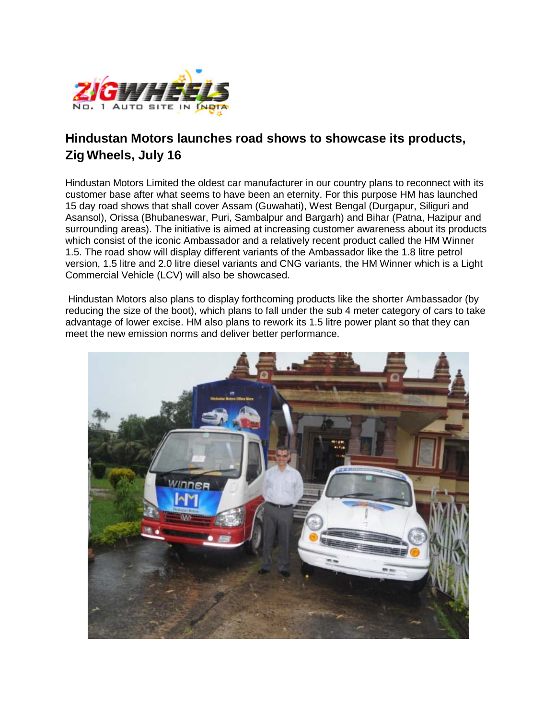

## **Hindustan Motors launches road shows to showcase its products, Zig Wheels, July 16**

Hindustan Motors Limited the oldest car manufacturer in our country plans to reconnect with its customer base after what seems to have been an eternity. For this purpose HM has launched 15 day road shows that shall cover Assam (Guwahati), West Bengal (Durgapur, Siliguri and Asansol), Orissa (Bhubaneswar, Puri, Sambalpur and Bargarh) and Bihar (Patna, Hazipur and surrounding areas). The initiative is aimed at increasing customer awareness about its products which consist of the iconic Ambassador and a relatively recent product called the HM Winner 1.5. The road show will display different variants of the Ambassador like the 1.8 litre petrol version, 1.5 litre and 2.0 litre diesel variants and CNG variants, the HM Winner which is a Light Commercial Vehicle (LCV) will also be showcased.

Hindustan Motors also plans to display forthcoming products like the shorter Ambassador (by reducing the size of the boot), which plans to fall under the sub 4 meter category of cars to take advantage of lower excise. HM also plans to rework its 1.5 litre power plant so that they can meet the new emission norms and deliver better performance.